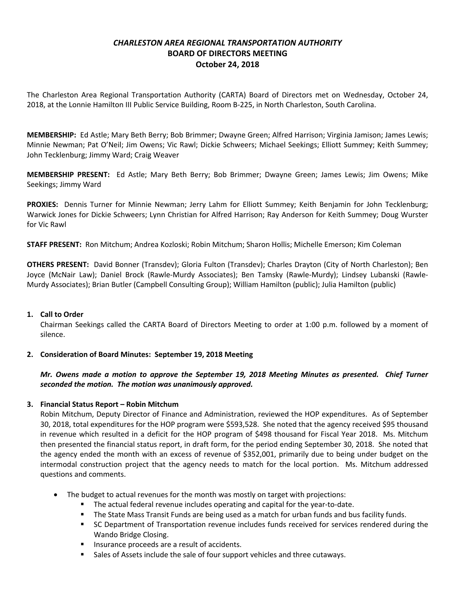# *CHARLESTON AREA REGIONAL TRANSPORTATION AUTHORITY* **BOARD OF DIRECTORS MEETING October 24, 2018**

The Charleston Area Regional Transportation Authority (CARTA) Board of Directors met on Wednesday, October 24, 2018, at the Lonnie Hamilton III Public Service Building, Room B-225, in North Charleston, South Carolina.

**MEMBERSHIP:** Ed Astle; Mary Beth Berry; Bob Brimmer; Dwayne Green; Alfred Harrison; Virginia Jamison; James Lewis; Minnie Newman; Pat O'Neil; Jim Owens; Vic Rawl; Dickie Schweers; Michael Seekings; Elliott Summey; Keith Summey; John Tecklenburg; Jimmy Ward; Craig Weaver

**MEMBERSHIP PRESENT:** Ed Astle; Mary Beth Berry; Bob Brimmer; Dwayne Green; James Lewis; Jim Owens; Mike Seekings; Jimmy Ward

**PROXIES:** Dennis Turner for Minnie Newman; Jerry Lahm for Elliott Summey; Keith Benjamin for John Tecklenburg; Warwick Jones for Dickie Schweers; Lynn Christian for Alfred Harrison; Ray Anderson for Keith Summey; Doug Wurster for Vic Rawl

**STAFF PRESENT:** Ron Mitchum; Andrea Kozloski; Robin Mitchum; Sharon Hollis; Michelle Emerson; Kim Coleman

**OTHERS PRESENT:** David Bonner (Transdev); Gloria Fulton (Transdev); Charles Drayton (City of North Charleston); Ben Joyce (McNair Law); Daniel Brock (Rawle-Murdy Associates); Ben Tamsky (Rawle-Murdy); Lindsey Lubanski (Rawle-Murdy Associates); Brian Butler (Campbell Consulting Group); William Hamilton (public); Julia Hamilton (public)

### **1. Call to Order**

Chairman Seekings called the CARTA Board of Directors Meeting to order at 1:00 p.m. followed by a moment of silence.

# **2. Consideration of Board Minutes: September 19, 2018 Meeting**

*Mr. Owens made a motion to approve the September 19, 2018 Meeting Minutes as presented. Chief Turner seconded the motion. The motion was unanimously approved.*

# **3. Financial Status Report – Robin Mitchum**

Robin Mitchum, Deputy Director of Finance and Administration, reviewed the HOP expenditures. As of September 30, 2018, total expenditures for the HOP program were \$593,528. She noted that the agency received \$95 thousand in revenue which resulted in a deficit for the HOP program of \$498 thousand for Fiscal Year 2018. Ms. Mitchum then presented the financial status report, in draft form, for the period ending September 30, 2018. She noted that the agency ended the month with an excess of revenue of \$352,001, primarily due to being under budget on the intermodal construction project that the agency needs to match for the local portion. Ms. Mitchum addressed questions and comments.

- The budget to actual revenues for the month was mostly on target with projections:
	- **•** The actual federal revenue includes operating and capital for the year-to-date.
	- **•** The State Mass Transit Funds are being used as a match for urban funds and bus facility funds.
	- SC Department of Transportation revenue includes funds received for services rendered during the Wando Bridge Closing.
	- Insurance proceeds are a result of accidents.
	- Sales of Assets include the sale of four support vehicles and three cutaways.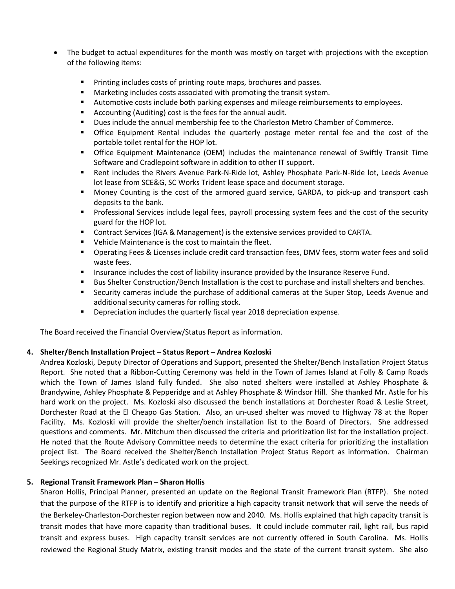- The budget to actual expenditures for the month was mostly on target with projections with the exception of the following items:
	- Printing includes costs of printing route maps, brochures and passes.
	- Marketing includes costs associated with promoting the transit system.
	- § Automotive costs include both parking expenses and mileage reimbursements to employees.
	- Accounting (Auditing) cost is the fees for the annual audit.
	- § Dues include the annual membership fee to the Charleston Metro Chamber of Commerce.
	- § Office Equipment Rental includes the quarterly postage meter rental fee and the cost of the portable toilet rental for the HOP lot.
	- § Office Equipment Maintenance (OEM) includes the maintenance renewal of Swiftly Transit Time Software and Cradlepoint software in addition to other IT support.
	- Rent includes the Rivers Avenue Park-N-Ride lot, Ashley Phosphate Park-N-Ride lot, Leeds Avenue lot lease from SCE&G, SC Works Trident lease space and document storage.
	- Money Counting is the cost of the armored guard service, GARDA, to pick-up and transport cash deposits to the bank.
	- § Professional Services include legal fees, payroll processing system fees and the cost of the security guard for the HOP lot.
	- Contract Services (IGA & Management) is the extensive services provided to CARTA.
	- Vehicle Maintenance is the cost to maintain the fleet.
	- Operating Fees & Licenses include credit card transaction fees, DMV fees, storm water fees and solid waste fees.
	- Insurance includes the cost of liability insurance provided by the Insurance Reserve Fund.
	- Bus Shelter Construction/Bench Installation is the cost to purchase and install shelters and benches.
	- Security cameras include the purchase of additional cameras at the Super Stop, Leeds Avenue and additional security cameras for rolling stock.
	- Depreciation includes the quarterly fiscal year 2018 depreciation expense.

The Board received the Financial Overview/Status Report as information.

### **4. Shelter/Bench Installation Project – Status Report – Andrea Kozloski**

Andrea Kozloski, Deputy Director of Operations and Support, presented the Shelter/Bench Installation Project Status Report. She noted that a Ribbon-Cutting Ceremony was held in the Town of James Island at Folly & Camp Roads which the Town of James Island fully funded. She also noted shelters were installed at Ashley Phosphate & Brandywine, Ashley Phosphate & Pepperidge and at Ashley Phosphate & Windsor Hill. She thanked Mr. Astle for his hard work on the project. Ms. Kozloski also discussed the bench installations at Dorchester Road & Leslie Street, Dorchester Road at the El Cheapo Gas Station. Also, an un-used shelter was moved to Highway 78 at the Roper Facility. Ms. Kozloski will provide the shelter/bench installation list to the Board of Directors. She addressed questions and comments. Mr. Mitchum then discussed the criteria and prioritization list for the installation project. He noted that the Route Advisory Committee needs to determine the exact criteria for prioritizing the installation project list. The Board received the Shelter/Bench Installation Project Status Report as information. Chairman Seekings recognized Mr. Astle's dedicated work on the project.

### **5. Regional Transit Framework Plan – Sharon Hollis**

Sharon Hollis, Principal Planner, presented an update on the Regional Transit Framework Plan (RTFP). She noted that the purpose of the RTFP is to identify and prioritize a high capacity transit network that will serve the needs of the Berkeley-Charleston-Dorchester region between now and 2040. Ms. Hollis explained that high capacity transit is transit modes that have more capacity than traditional buses. It could include commuter rail, light rail, bus rapid transit and express buses. High capacity transit services are not currently offered in South Carolina. Ms. Hollis reviewed the Regional Study Matrix, existing transit modes and the state of the current transit system. She also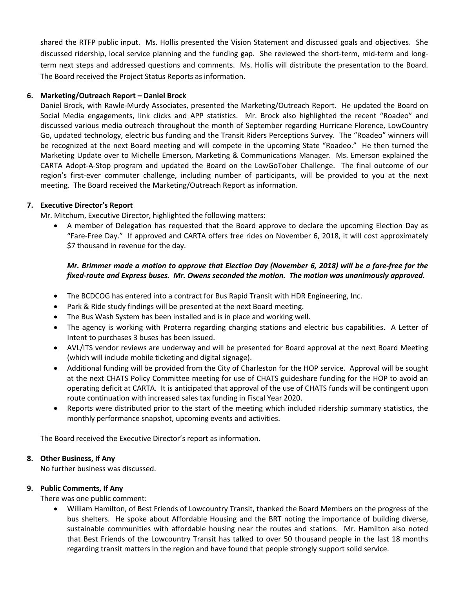shared the RTFP public input. Ms. Hollis presented the Vision Statement and discussed goals and objectives. She discussed ridership, local service planning and the funding gap. She reviewed the short-term, mid-term and longterm next steps and addressed questions and comments. Ms. Hollis will distribute the presentation to the Board. The Board received the Project Status Reports as information.

### **6. Marketing/Outreach Report – Daniel Brock**

Daniel Brock, with Rawle-Murdy Associates, presented the Marketing/Outreach Report. He updated the Board on Social Media engagements, link clicks and APP statistics. Mr. Brock also highlighted the recent "Roadeo" and discussed various media outreach throughout the month of September regarding Hurricane Florence, LowCountry Go, updated technology, electric bus funding and the Transit Riders Perceptions Survey. The "Roadeo" winners will be recognized at the next Board meeting and will compete in the upcoming State "Roadeo." He then turned the Marketing Update over to Michelle Emerson, Marketing & Communications Manager. Ms. Emerson explained the CARTA Adopt-A-Stop program and updated the Board on the LowGoTober Challenge. The final outcome of our region's first-ever commuter challenge, including number of participants, will be provided to you at the next meeting. The Board received the Marketing/Outreach Report as information.

### **7. Executive Director's Report**

Mr. Mitchum, Executive Director, highlighted the following matters:

• A member of Delegation has requested that the Board approve to declare the upcoming Election Day as "Fare-Free Day." If approved and CARTA offers free rides on November 6, 2018, it will cost approximately \$7 thousand in revenue for the day.

### *Mr. Brimmer made a motion to approve that Election Day (November 6, 2018) will be a fare-free for the fixed-route and Express buses. Mr. Owens seconded the motion. The motion was unanimously approved.*

- The BCDCOG has entered into a contract for Bus Rapid Transit with HDR Engineering, Inc.
- Park & Ride study findings will be presented at the next Board meeting.
- The Bus Wash System has been installed and is in place and working well.
- The agency is working with Proterra regarding charging stations and electric bus capabilities. A Letter of Intent to purchases 3 buses has been issued.
- AVL/ITS vendor reviews are underway and will be presented for Board approval at the next Board Meeting (which will include mobile ticketing and digital signage).
- Additional funding will be provided from the City of Charleston for the HOP service. Approval will be sought at the next CHATS Policy Committee meeting for use of CHATS guideshare funding for the HOP to avoid an operating deficit at CARTA. It is anticipated that approval of the use of CHATS funds will be contingent upon route continuation with increased sales tax funding in Fiscal Year 2020.
- Reports were distributed prior to the start of the meeting which included ridership summary statistics, the monthly performance snapshot, upcoming events and activities.

The Board received the Executive Director's report as information.

### **8. Other Business, If Any**

No further business was discussed.

### **9. Public Comments, If Any**

There was one public comment:

• William Hamilton, of Best Friends of Lowcountry Transit, thanked the Board Members on the progress of the bus shelters. He spoke about Affordable Housing and the BRT noting the importance of building diverse, sustainable communities with affordable housing near the routes and stations. Mr. Hamilton also noted that Best Friends of the Lowcountry Transit has talked to over 50 thousand people in the last 18 months regarding transit matters in the region and have found that people strongly support solid service.